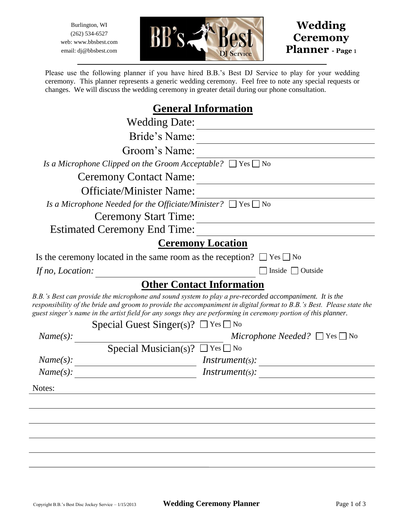Burlington, WI (262) 534-6527 web: www.bbsbest.com email: dj@bbsbest.com





Please use the following planner if you have hired B.B.'s Best DJ Service to play for your wedding ceremony. This planner represents a generic wedding ceremony. Feel free to note any special requests or changes. We will discuss the wedding ceremony in greater detail during our phone consultation.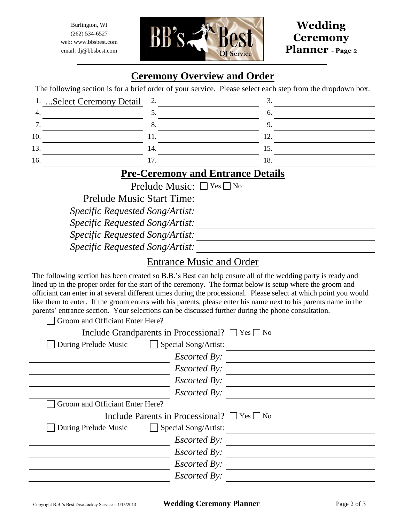Burlington, WI (262) 534-6527 web: www.bbsbest.com email: dj@bbsbest.com



## **Wedding Ceremony Planner - Page** <sup>2</sup>

## **Ceremony Overview and Order**

The following section is for a brief order of your service. Please select each step from the dropdown box.

| 1. Select Ceremony Detail 2. |     |
|------------------------------|-----|
|                              |     |
| o.                           |     |
|                              |     |
| 14.                          | LJ. |
|                              | 10. |
|                              |     |

#### **Pre-Ceremony and Entrance Details**

Prelude Music:  $\Box$  Yes  $\Box$  No

Prelude Music Start Time:

*Specific Requested Song/Artist:*

*Specific Requested Song/Artist:*

*Specific Requested Song/Artist:*

*Specific Requested Song/Artist:*

#### Entrance Music and Order

The following section has been created so B.B.'s Best can help ensure all of the wedding party is ready and lined up in the proper order for the start of the ceremony. The format below is setup where the groom and officiant can enter in at several different times during the processional. Please select at which point you would like them to enter. If the groom enters with his parents, please enter his name next to his parents name in the parents' entrance section. Your selections can be discussed further during the phone consultation.

| Groom and Officiant Enter Here?                            |  |
|------------------------------------------------------------|--|
| Include Grandparents in Processional? $\Box$ Yes $\Box$ No |  |
| During Prelude Music<br>$\Box$ Special Song/Artist:        |  |
| <i>Escorted By:</i>                                        |  |
| <i>Escorted By:</i>                                        |  |
| <b>Escorted By:</b>                                        |  |
| <b>Escorted By:</b>                                        |  |
| Groom and Officiant Enter Here?                            |  |
| Include Parents in Processional? $\Box$ Yes $\Box$ No      |  |
| During Prelude Music<br>Special Song/Artist:               |  |
| <i>Escorted By:</i>                                        |  |
| <i>Escorted By:</i>                                        |  |
| <i>Escorted By:</i>                                        |  |
|                                                            |  |
| <i>Escorted By:</i>                                        |  |